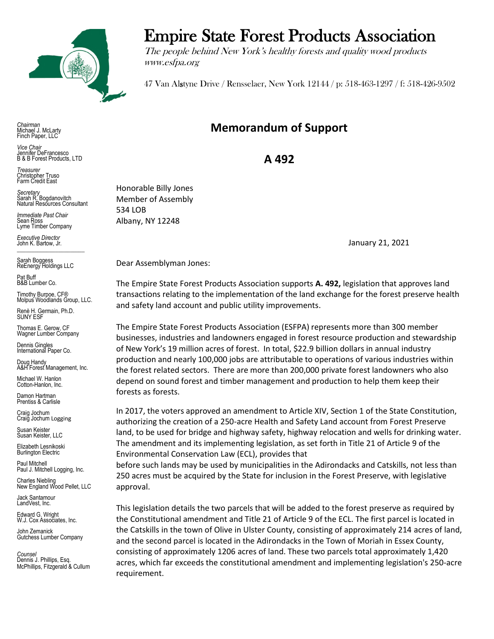

*Chairman* Michael J. McLarty Finch Paper, LLC

*Vice Chair* Jennifer DeFrancesco B & B Forest Products, LTD

*Treasurer* Christopher Truso Farm Credit East

*Secretary* Sarah R. Bogdanovitch Natural Resources Consultant

*Immediate Past Chair* Sean Ross Lyme Timber Company

*Executive Director* John K. Bartow, Jr.  $\mathcal{L}_\text{max}$  , we can also the set of the set of the set of the set of the set of the set of the set of the set of the set of the set of the set of the set of the set of the set of the set of the set of the set of the se

Sarah Boggess ReEnergy Holdings LLC

Pat Buff B&B Lumber Co.

Timothy Burpoe, CF® Molpus Woodlands Group, LLC.

Renè H. Germain, Ph.D. SUNY ESF

Thomas E. Gerow, CF Wagner Lumber Company

Dennis Gingles International Paper Co.

Doug Handy A&H Forest Management, Inc.

Michael W. Hanlon Cotton-Hanlon, Inc.

Damon Hartman Prentiss & Carlisle

Craig Jochum Craig Jochum Logging

Susan Keister Susan Keister, LLC

Elizabeth Lesnikoski Burlington Electric

Paul Mitchell Paul J. Mitchell Logging, Inc.

Charles Niebling New England Wood Pellet, LLC

Jack Santamour LandVest, Inc.

Edward G. Wright W.J. Cox Associates, Inc.

John Zemanick Gutchess Lumber Company

*Counsel* Dennis J. Phillips, Esq. McPhillips, Fitzgerald & Cullum

## Empire State Forest Products Association

The people behind New York's healthy forests and quality wood products www.esfpa.org

47 Van Alstyne Drive / Rensselaer, New York 12144 / p: 518-463-1297 / f: 518-426-9502

## **Memorandum of Support**

**A 492**

Honorable Billy Jones Member of Assembly 534 LOB Albany, NY 12248

January 21, 2021

Dear Assemblyman Jones:

The Empire State Forest Products Association supports **A. 492,** legislation that approves land transactions relating to the implementation of the land exchange for the forest preserve health and safety land account and public utility improvements.

The Empire State Forest Products Association (ESFPA) represents more than 300 member businesses, industries and landowners engaged in forest resource production and stewardship of New York's 19 million acres of forest. In total, \$22.9 billion dollars in annual industry production and nearly 100,000 jobs are attributable to operations of various industries within the forest related sectors. There are more than 200,000 private forest landowners who also depend on sound forest and timber management and production to help them keep their forests as forests.

In 2017, the voters approved an amendment to Article XIV, Section 1 of the State Constitution, authorizing the creation of a 250-acre Health and Safety Land account from Forest Preserve land, to be used for bridge and highway safety, highway relocation and wells for drinking water. The amendment and its implementing legislation, as set forth in Title 21 of Article 9 of the Environmental Conservation Law (ECL), provides that

before such lands may be used by municipalities in the Adirondacks and Catskills, not less than 250 acres must be acquired by the State for inclusion in the Forest Preserve, with legislative approval.

This legislation details the two parcels that will be added to the forest preserve as required by the Constitutional amendment and Title 21 of Article 9 of the ECL. The first parcel is located in the Catskills in the town of Olive in Ulster County, consisting of approximately 214 acres of land, and the second parcel is located in the Adirondacks in the Town of Moriah in Essex County, consisting of approximately 1206 acres of land. These two parcels total approximately 1,420 acres, which far exceeds the constitutional amendment and implementing legislation's 250-acre requirement.